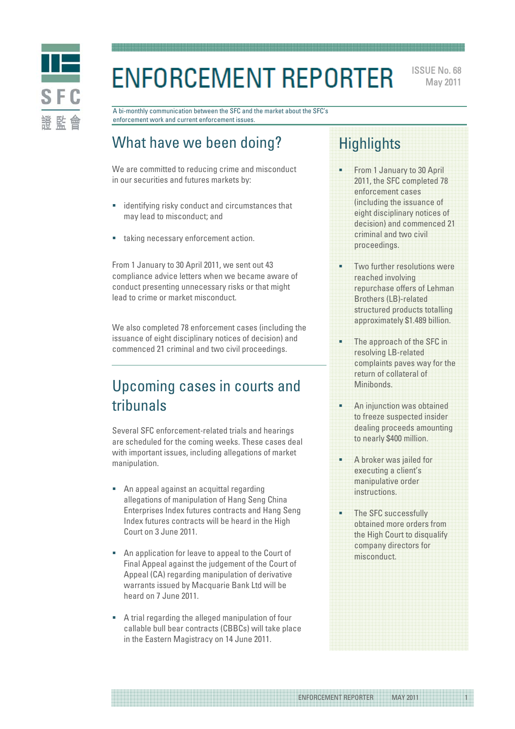

# **ENFORCEMENT REPORTER**

ISSUE No. 68 May 2011

A bi-monthly communication between the SFC and the market about the SFC's enforcement work and current enforcement issues.

# What have we been doing?

We are committed to reducing crime and misconduct in our securities and futures markets by:

- identifying risky conduct and circumstances that may lead to misconduct; and
- taking necessary enforcement action.

From 1 January to 30 April 2011, we sent out 43 compliance advice letters when we became aware of conduct presenting unnecessary risks or that might lead to crime or market misconduct.

We also completed 78 enforcement cases (including the issuance of eight disciplinary notices of decision) and commenced 21 criminal and two civil proceedings.

# Upcoming cases in courts and tribunals

Several SFC enforcement-related trials and hearings are scheduled for the coming weeks. These cases deal with important issues, including allegations of market manipulation.

- An appeal against an acquittal regarding allegations of manipulation of Hang Seng China Enterprises Index futures contracts and Hang Seng Index futures contracts will be heard in the High Court on 3 June 2011.
- An application for leave to appeal to the Court of Final Appeal against the judgement of the Court of Appeal (CA) regarding manipulation of derivative warrants issued by Macquarie Bank Ltd will be heard on 7 June 2011.
- A trial regarding the alleged manipulation of four callable bull bear contracts (CBBCs) will take place in the Eastern Magistracy on 14 June 2011.

# **Highlights**

- From 1 January to 30 April 2011, the SFC completed 78 enforcement cases (including the issuance of eight disciplinary notices of decision) and commenced 21 criminal and two civil proceedings.
- Two further resolutions were reached involving repurchase offers of Lehman Brothers (LB)-related structured products totalling approximately \$1.489 billion.
- The approach of the SFC in resolving LB-related complaints paves way for the return of collateral of Minibonds.
- An injunction was obtained to freeze suspected insider dealing proceeds amounting to nearly \$400 million.
- A broker was jailed for executing a client's manipulative order instructions.
- The SFC successfully obtained more orders from the High Court to disqualify company directors for misconduct.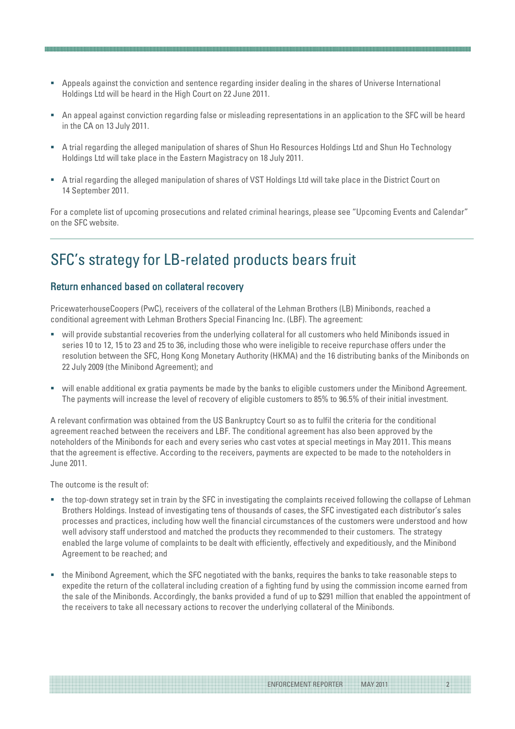- Appeals against the conviction and sentence regarding insider dealing in the shares of Universe International Holdings Ltd will be heard in the High Court on 22 June 2011.
- An appeal against conviction regarding false or misleading representations in an application to the SFC will be heard in the CA on 13 July 2011.
- A trial regarding the alleged manipulation of shares of Shun Ho Resources Holdings Ltd and Shun Ho Technology Holdings Ltd will take place in the Eastern Magistracy on 18 July 2011.
- A trial regarding the alleged manipulation of shares of VST Holdings Ltd will take place in the District Court on 14 September 2011.

For a complete list of upcoming prosecutions and related criminal hearings, please see "Upcoming Events and Calendar" on the SFC website.

### SFC's strategy for LB-related products bears fruit

#### Return enhanced based on collateral recovery

PricewaterhouseCoopers (PwC), receivers of the collateral of the Lehman Brothers (LB) Minibonds, reached a conditional agreement with Lehman Brothers Special Financing Inc. (LBF). The agreement:

- will provide substantial recoveries from the underlying collateral for all customers who held Minibonds issued in series 10 to 12, 15 to 23 and 25 to 36, including those who were ineligible to receive repurchase offers under the resolution between the SFC, Hong Kong Monetary Authority (HKMA) and the 16 distributing banks of the Minibonds on 22 July 2009 (the Minibond Agreement); and
- will enable additional ex gratia payments be made by the banks to eligible customers under the Minibond Agreement. The payments will increase the level of recovery of eligible customers to 85% to 96.5% of their initial investment.

A relevant confirmation was obtained from the US Bankruptcy Court so as to fulfil the criteria for the conditional agreement reached between the receivers and LBF. The conditional agreement has also been approved by the noteholders of the Minibonds for each and every series who cast votes at special meetings in May 2011. This means that the agreement is effective. According to the receivers, payments are expected to be made to the noteholders in June 2011.

The outcome is the result of:

- the top-down strategy set in train by the SFC in investigating the complaints received following the collapse of Lehman Brothers Holdings. Instead of investigating tens of thousands of cases, the SFC investigated each distributor's sales processes and practices, including how well the financial circumstances of the customers were understood and how well advisory staff understood and matched the products they recommended to their customers. The strategy enabled the large volume of complaints to be dealt with efficiently, effectively and expeditiously, and the Minibond Agreement to be reached; and
- the Minibond Agreement, which the SFC negotiated with the banks, requires the banks to take reasonable steps to expedite the return of the collateral including creation of a fighting fund by using the commission income earned from the sale of the Minibonds. Accordingly, the banks provided a fund of up to \$291 million that enabled the appointment of the receivers to take all necessary actions to recover the underlying collateral of the Minibonds.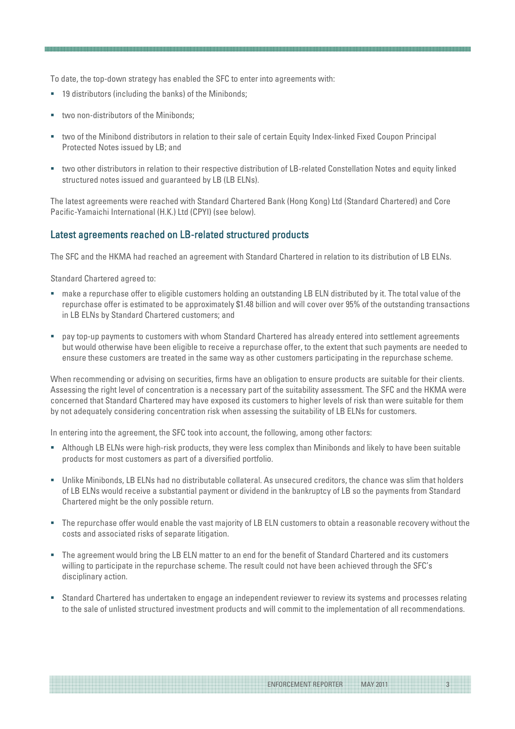To date, the top-down strategy has enabled the SFC to enter into agreements with:

- 19 distributors (including the banks) of the Minibonds;
- two non-distributors of the Minibonds;
- two of the Minibond distributors in relation to their sale of certain Equity Index-linked Fixed Coupon Principal Protected Notes issued by LB; and
- two other distributors in relation to their respective distribution of LB-related Constellation Notes and equity linked structured notes issued and guaranteed by LB (LB ELNs).

The latest agreements were reached with Standard Chartered Bank (Hong Kong) Ltd (Standard Chartered) and Core Pacific-Yamaichi International (H.K.) Ltd (CPYI) (see below).

#### Latest agreements reached on LB-related structured products

The SFC and the HKMA had reached an agreement with Standard Chartered in relation to its distribution of LB ELNs.

Standard Chartered agreed to:

- make a repurchase offer to eligible customers holding an outstanding LB ELN distributed by it. The total value of the repurchase offer is estimated to be approximately \$1.48 billion and will cover over 95% of the outstanding transactions in LB ELNs by Standard Chartered customers; and
- pay top-up payments to customers with whom Standard Chartered has already entered into settlement agreements but would otherwise have been eligible to receive a repurchase offer, to the extent that such payments are needed to ensure these customers are treated in the same way as other customers participating in the repurchase scheme.

When recommending or advising on securities, firms have an obligation to ensure products are suitable for their clients. Assessing the right level of concentration is a necessary part of the suitability assessment. The SFC and the HKMA were concerned that Standard Chartered may have exposed its customers to higher levels of risk than were suitable for them by not adequately considering concentration risk when assessing the suitability of LB ELNs for customers.

In entering into the agreement, the SFC took into account, the following, among other factors:

- Although LB ELNs were high-risk products, they were less complex than Minibonds and likely to have been suitable products for most customers as part of a diversified portfolio.
- Unlike Minibonds, LB ELNs had no distributable collateral. As unsecured creditors, the chance was slim that holders of LB ELNs would receive a substantial payment or dividend in the bankruptcy of LB so the payments from Standard Chartered might be the only possible return.
- The repurchase offer would enable the vast majority of LB ELN customers to obtain a reasonable recovery without the costs and associated risks of separate litigation.
- The agreement would bring the LB ELN matter to an end for the benefit of Standard Chartered and its customers willing to participate in the repurchase scheme. The result could not have been achieved through the SFC's disciplinary action.
- Standard Chartered has undertaken to engage an independent reviewer to review its systems and processes relating to the sale of unlisted structured investment products and will commit to the implementation of all recommendations.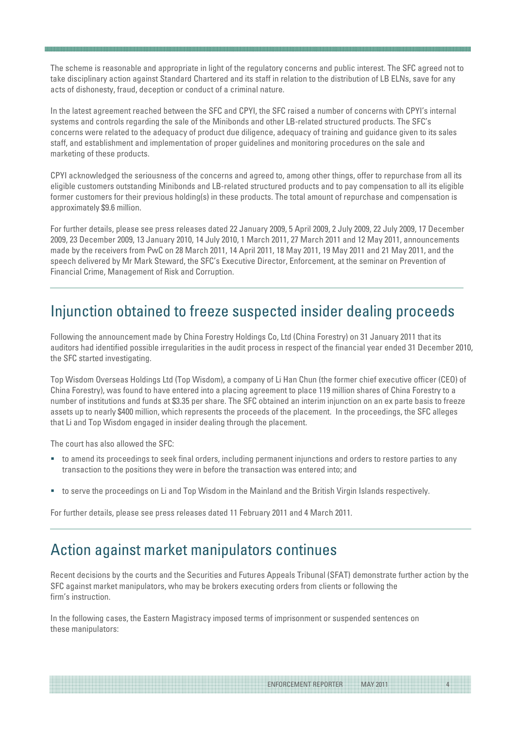The scheme is reasonable and appropriate in light of the regulatory concerns and public interest. The SFC agreed not to take disciplinary action against Standard Chartered and its staff in relation to the distribution of LB ELNs, save for any acts of dishonesty, fraud, deception or conduct of a criminal nature.

In the latest agreement reached between the SFC and CPYI, the SFC raised a number of concerns with CPYI's internal systems and controls regarding the sale of the Minibonds and other LB-related structured products. The SFC's concerns were related to the adequacy of product due diligence, adequacy of training and guidance given to its sales staff, and establishment and implementation of proper guidelines and monitoring procedures on the sale and marketing of these products.

CPYI acknowledged the seriousness of the concerns and agreed to, among other things, offer to repurchase from all its eligible customers outstanding Minibonds and LB-related structured products and to pay compensation to all its eligible former customers for their previous holding(s) in these products. The total amount of repurchase and compensation is approximately \$9.6 million.

For further details, please see press releases dated 22 January 2009, 5 April 2009, 2 July 2009, 22 July 2009, 17 December 2009, 23 December 2009, 13 January 2010, 14 July 2010, 1 March 2011, 27 March 2011 and 12 May 2011, announcements made by the receivers from PwC on 28 March 2011, 14 April 2011, 18 May 2011, 19 May 2011 and 21 May 2011, and the speech delivered by Mr Mark Steward, the SFC's Executive Director, Enforcement, at the seminar on Prevention of Financial Crime, Management of Risk and Corruption.

### Injunction obtained to freeze suspected insider dealing proceeds

Following the announcement made by China Forestry Holdings Co, Ltd (China Forestry) on 31 January 2011 that its auditors had identified possible irregularities in the audit process in respect of the financial year ended 31 December 2010, the SFC started investigating.

Top Wisdom Overseas Holdings Ltd (Top Wisdom), a company of Li Han Chun (the former chief executive officer (CEO) of China Forestry), was found to have entered into a placing agreement to place 119 million shares of China Forestry to a number of institutions and funds at \$3.35 per share. The SFC obtained an interim injunction on an ex parte basis to freeze assets up to nearly \$400 million, which represents the proceeds of the placement. In the proceedings, the SFC alleges that Li and Top Wisdom engaged in insider dealing through the placement.

The court has also allowed the SFC:

- to amend its proceedings to seek final orders, including permanent injunctions and orders to restore parties to any transaction to the positions they were in before the transaction was entered into; and
- to serve the proceedings on Li and Top Wisdom in the Mainland and the British Virgin Islands respectively.

For further details, please see press releases dated 11 February 2011 and 4 March 2011.

### Action against market manipulators continues

Recent decisions by the courts and the Securities and Futures Appeals Tribunal (SFAT) demonstrate further action by the SFC against market manipulators, who may be brokers executing orders from clients or following the firm's instruction.

ENFORCEMENT REPORTER MAY 2011

In the following cases, the Eastern Magistracy imposed terms of imprisonment or suspended sentences on these manipulators: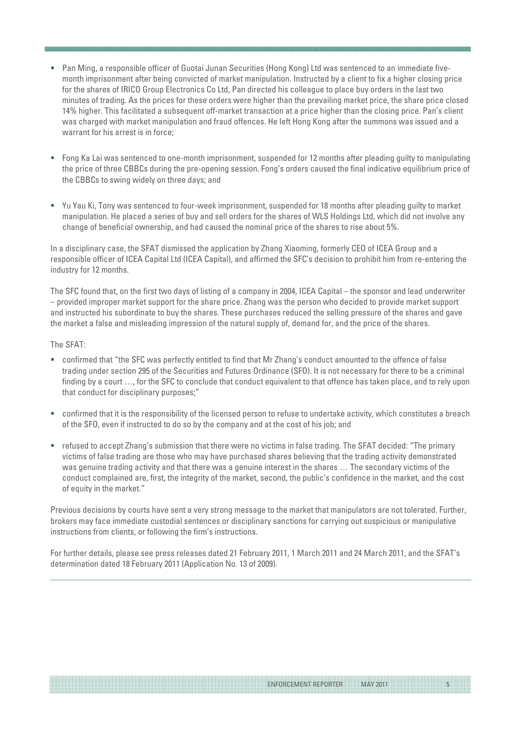- Pan Ming, a responsible officer of Guotai Junan Securities (Hong Kong) Ltd was sentenced to an immediate fivemonth imprisonment after being convicted of market manipulation. Instructed by a client to fix a higher closing price for the shares of IRICO Group Electronics Co Ltd, Pan directed his colleague to place buy orders in the last two minutes of trading. As the prices for these orders were higher than the prevailing market price, the share price closed 14% higher. This facilitated a subsequent off-market transaction at a price higher than the closing price. Pan's client was charged with market manipulation and fraud offences. He left Hong Kong after the summons was issued and a warrant for his arrest is in force;
- Fong Ka Lai was sentenced to one-month imprisonment, suspended for 12 months after pleading guilty to manipulating the price of three CBBCs during the pre-opening session. Fong's orders caused the final indicative equilibrium price of the CBBCs to swing widely on three days; and
- Yu Yau Ki, Tony was sentenced to four-week imprisonment, suspended for 18 months after pleading guilty to market manipulation. He placed a series of buy and sell orders for the shares of WLS Holdings Ltd, which did not involve any change of beneficial ownership, and had caused the nominal price of the shares to rise about 5%.

In a disciplinary case, the SFAT dismissed the application by Zhang Xiaoming, formerly CEO of ICEA Group and a responsible officer of ICEA Capital Ltd (ICEA Capital), and affirmed the SFC's decision to prohibit him from re-entering the industry for 12 months.

The SFC found that, on the first two days of listing of a company in 2004, ICEA Capital – the sponsor and lead underwriter – provided improper market support for the share price. Zhang was the person who decided to provide market support and instructed his subordinate to buy the shares. These purchases reduced the selling pressure of the shares and gave the market a false and misleading impression of the natural supply of, demand for, and the price of the shares.

#### The SFAT:

- confirmed that "the SFC was perfectly entitled to find that Mr Zhang's conduct amounted to the offence of false trading under section 295 of the Securities and Futures Ordinance (SFO). It is not necessary for there to be a criminal finding by a court …, for the SFC to conclude that conduct equivalent to that offence has taken place, and to rely upon that conduct for disciplinary purposes;"
- confirmed that it is the responsibility of the licensed person to refuse to undertake activity, which constitutes a breach of the SFO, even if instructed to do so by the company and at the cost of his job; and
- refused to accept Zhang's submission that there were no victims in false trading. The SFAT decided: "The primary victims of false trading are those who may have purchased shares believing that the trading activity demonstrated was genuine trading activity and that there was a genuine interest in the shares … The secondary victims of the conduct complained are, first, the integrity of the market, second, the public's confidence in the market, and the cost of equity in the market."

Previous decisions by courts have sent a very strong message to the market that manipulators are not tolerated. Further, brokers may face immediate custodial sentences or disciplinary sanctions for carrying out suspicious or manipulative instructions from clients, or following the firm's instructions.

For further details, please see press releases dated 21 February 2011, 1 March 2011 and 24 March 2011, and the SFAT's determination dated 18 February 2011 (Application No. 13 of 2009).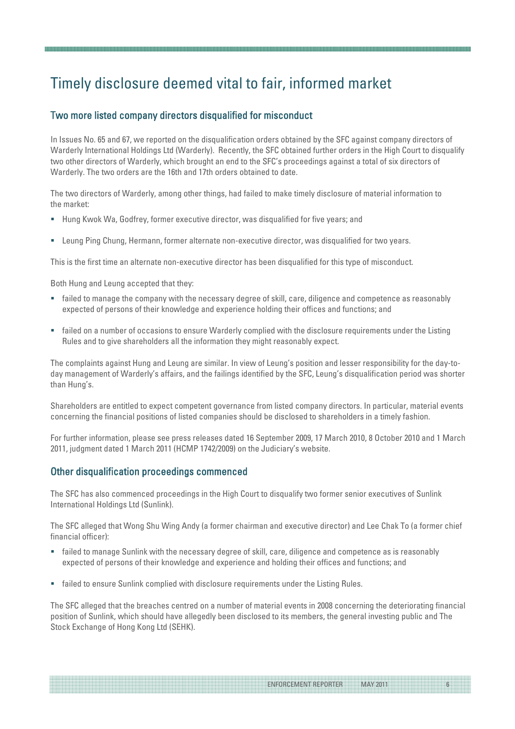# Timely disclosure deemed vital to fair, informed market

### Two more listed company directors disqualified for misconduct

In Issues No. 65 and 67, we reported on the disqualification orders obtained by the SFC against company directors of Warderly International Holdings Ltd (Warderly). Recently, the SFC obtained further orders in the High Court to disqualify two other directors of Warderly, which brought an end to the SFC's proceedings against a total of six directors of Warderly. The two orders are the 16th and 17th orders obtained to date.

The two directors of Warderly, among other things, had failed to make timely disclosure of material information to the market:

- Hung Kwok Wa, Godfrey, former executive director, was disqualified for five years; and
- Leung Ping Chung, Hermann, former alternate non-executive director, was disqualified for two years.

This is the first time an alternate non-executive director has been disqualified for this type of misconduct.

Both Hung and Leung accepted that they:

- failed to manage the company with the necessary degree of skill, care, diligence and competence as reasonably expected of persons of their knowledge and experience holding their offices and functions; and
- failed on a number of occasions to ensure Warderly complied with the disclosure requirements under the Listing Rules and to give shareholders all the information they might reasonably expect.

The complaints against Hung and Leung are similar. In view of Leung's position and lesser responsibility for the day-today management of Warderly's affairs, and the failings identified by the SFC, Leung's disqualification period was shorter than Hung's.

Shareholders are entitled to expect competent governance from listed company directors. In particular, material events concerning the financial positions of listed companies should be disclosed to shareholders in a timely fashion.

For further information, please see press releases dated 16 September 2009, 17 March 2010, 8 October 2010 and 1 March 2011, judgment dated 1 March 2011 (HCMP 1742/2009) on the Judiciary's website.

#### Other disqualification proceedings commenced

The SFC has also commenced proceedings in the High Court to disqualify two former senior executives of Sunlink International Holdings Ltd (Sunlink).

The SFC alleged that Wong Shu Wing Andy (a former chairman and executive director) and Lee Chak To (a former chief financial officer):

- failed to manage Sunlink with the necessary degree of skill, care, diligence and competence as is reasonably expected of persons of their knowledge and experience and holding their offices and functions; and
- failed to ensure Sunlink complied with disclosure requirements under the Listing Rules.

The SFC alleged that the breaches centred on a number of material events in 2008 concerning the deteriorating financial position of Sunlink, which should have allegedly been disclosed to its members, the general investing public and The Stock Exchange of Hong Kong Ltd (SEHK).

ENFORCEMENT REPORTER MAY 2011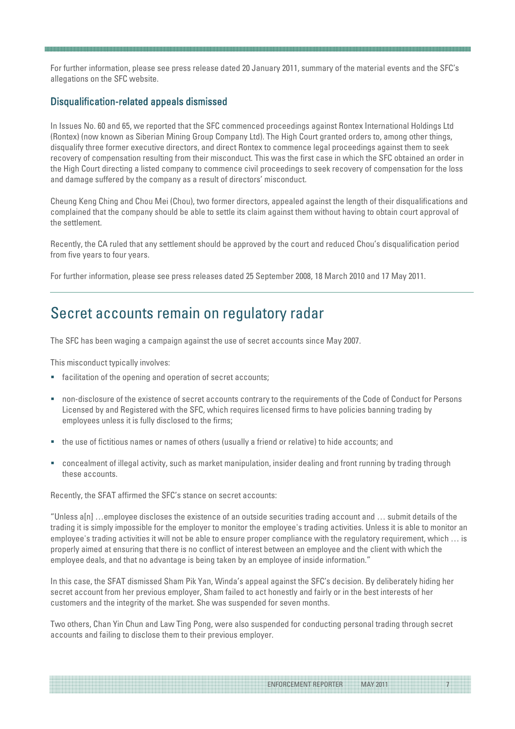For further information, please see press release dated 20 January 2011, summary of the material events and the SFC's allegations on the SFC website.

#### Disqualification-related appeals dismissed

In Issues No. 60 and 65, we reported that the SFC commenced proceedings against Rontex International Holdings Ltd (Rontex) (now known as Siberian Mining Group Company Ltd). The High Court granted orders to, among other things, disqualify three former executive directors, and direct Rontex to commence legal proceedings against them to seek recovery of compensation resulting from their misconduct. This was the first case in which the SFC obtained an order in the High Court directing a listed company to commence civil proceedings to seek recovery of compensation for the loss and damage suffered by the company as a result of directors' misconduct.

Cheung Keng Ching and Chou Mei (Chou), two former directors, appealed against the length of their disqualifications and complained that the company should be able to settle its claim against them without having to obtain court approval of the settlement.

Recently, the CA ruled that any settlement should be approved by the court and reduced Chou's disqualification period from five years to four years.

For further information, please see press releases dated 25 September 2008, 18 March 2010 and 17 May 2011.

### Secret accounts remain on regulatory radar

The SFC has been waging a campaign against the use of secret accounts since May 2007.

This misconduct typically involves:

- facilitation of the opening and operation of secret accounts;
- non-disclosure of the existence of secret accounts contrary to the requirements of the Code of Conduct for Persons Licensed by and Registered with the SFC, which requires licensed firms to have policies banning trading by employees unless it is fully disclosed to the firms;
- the use of fictitious names or names of others (usually a friend or relative) to hide accounts; and
- concealment of illegal activity, such as market manipulation, insider dealing and front running by trading through these accounts.

Recently, the SFAT affirmed the SFC's stance on secret accounts:

"Unless a[n] …employee discloses the existence of an outside securities trading account and … submit details of the trading it is simply impossible for the employer to monitor the employee's trading activities. Unless it is able to monitor an employee's trading activities it will not be able to ensure proper compliance with the regulatory requirement, which … is properly aimed at ensuring that there is no conflict of interest between an employee and the client with which the employee deals, and that no advantage is being taken by an employee of inside information."

In this case, the SFAT dismissed Sham Pik Yan, Winda's appeal against the SFC's decision. By deliberately hiding her secret account from her previous employer, Sham failed to act honestly and fairly or in the best interests of her customers and the integrity of the market. She was suspended for seven months.

Two others, Chan Yin Chun and Law Ting Pong, were also suspended for conducting personal trading through secret accounts and failing to disclose them to their previous employer.

ENFORCEMENT REPORTER MAY 2011